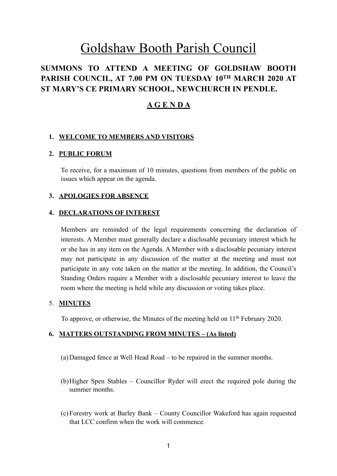# Goldshaw Booth Parish Council

## **SUMMONS TO ATTEND A MEETING OF GOLDSHAW BOOTH PARISH COUNCIL, AT 7.00 PM ON TUESDAY 10TH MARCH 2020 AT ST MARY'S CE PRIMARY SCHOOL, NEWCHURCH IN PENDLE.**

## **A G E N D A**

#### **1. WELCOME TO MEMBERS AND VISITORS**

#### **2. PUBLIC FORUM**

To receive, for a maximum of 10 minutes, questions from members of the public on issues which appear on the agenda.

#### **3. APOLOGIES FOR ABSENCE**

#### **4. DECLARATIONS OF INTEREST**

Members are reminded of the legal requirements concerning the declaration of interests. A Member must generally declare a disclosable pecuniary interest which he or she has in any item on the Agenda. A Member with a disclosable pecuniary interest may not participate in any discussion of the matter at the meeting and must not participate in any vote taken on the matter at the meeting. In addition, the Council's Standing Orders require a Member with a disclosable pecuniary interest to leave the room where the meeting is held while any discussion or voting takes place.

#### 5. **MINUTES**

To approve, or otherwise, the Minutes of the meeting held on 11<sup>th</sup> February 2020.

#### **6. MATTERS OUTSTANDING FROM MINUTES – (As listed)**

- (a)Damaged fence at Well Head Road to be repaired in the summer months.
- (b)Higher Spen Stables Councillor Ryder will erect the required pole during the summer months.
- (c) Forestry work at Barley Bank County Councillor Wakeford has again requested that LCC confirm when the work will commence.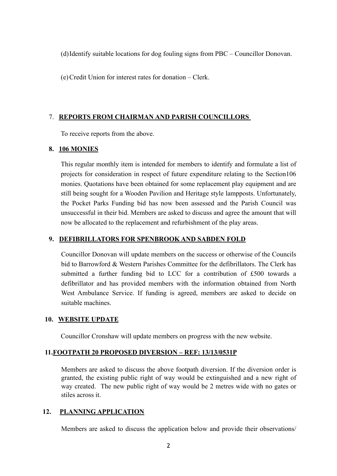(d)Identify suitable locations for dog fouling signs from PBC – Councillor Donovan.

(e)Credit Union for interest rates for donation – Clerk.

#### 7. **REPORTS FROM CHAIRMAN AND PARISH COUNCILLORS**

To receive reports from the above.

#### **8. 106 MONIES**

This regular monthly item is intended for members to identify and formulate a list of projects for consideration in respect of future expenditure relating to the Section106 monies. Quotations have been obtained for some replacement play equipment and are still being sought for a Wooden Pavilion and Heritage style lampposts. Unfortunately, the Pocket Parks Funding bid has now been assessed and the Parish Council was unsuccessful in their bid. Members are asked to discuss and agree the amount that will now be allocated to the replacement and refurbishment of the play areas.

#### **9. DEFIBRILLATORS FOR SPENBROOK AND SABDEN FOLD**

Councillor Donovan will update members on the success or otherwise of the Councils bid to Barrowford & Western Parishes Committee for the defibrillators. The Clerk has submitted a further funding bid to LCC for a contribution of £500 towards a defibrillator and has provided members with the information obtained from North West Ambulance Service. If funding is agreed, members are asked to decide on suitable machines.

#### **10. WEBSITE UPDATE**

Councillor Cronshaw will update members on progress with the new website.

#### **11.FOOTPATH 20 PROPOSED DIVERSION – REF: 13/13/0531P**

Members are asked to discuss the above footpath diversion. If the diversion order is granted, the existing public right of way would be extinguished and a new right of way created. The new public right of way would be 2 metres wide with no gates or stiles across it.

#### **12. PLANNING APPLICATION**

Members are asked to discuss the application below and provide their observations/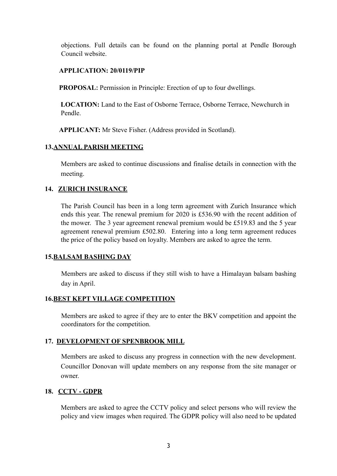objections. Full details can be found on the planning portal at Pendle Borough Council website.

#### **APPLICATION: 20/0119/PIP**

**PROPOSAL:** Permission in Principle: Erection of up to four dwellings.

 **LOCATION:** Land to the East of Osborne Terrace, Osborne Terrace, Newchurch in Pendle.

**APPLICANT:** Mr Steve Fisher. (Address provided in Scotland).

#### **13.ANNUAL PARISH MEETING**

Members are asked to continue discussions and finalise details in connection with the meeting.

#### **14. ZURICH INSURANCE**

The Parish Council has been in a long term agreement with Zurich Insurance which ends this year. The renewal premium for 2020 is £536.90 with the recent addition of the mower. The 3 year agreement renewal premium would be £519.83 and the 5 year agreement renewal premium £502.80. Entering into a long term agreement reduces the price of the policy based on loyalty. Members are asked to agree the term.

#### **15.BALSAM BASHING DAY**

Members are asked to discuss if they still wish to have a Himalayan balsam bashing day in April.

#### **16.BEST KEPT VILLAGE COMPETITION**

Members are asked to agree if they are to enter the BKV competition and appoint the coordinators for the competition.

#### **17. DEVELOPMENT OF SPENBROOK MILL**

 Members are asked to discuss any progress in connection with the new development. Councillor Donovan will update members on any response from the site manager or owner.

#### **18. CCTV - GDPR**

Members are asked to agree the CCTV policy and select persons who will review the policy and view images when required. The GDPR policy will also need to be updated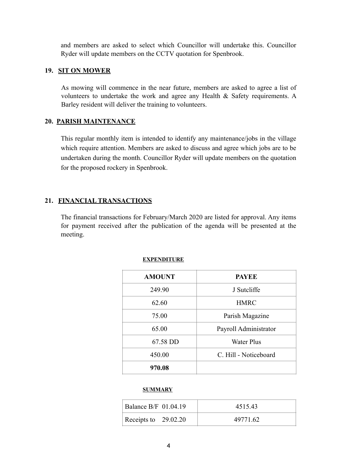and members are asked to select which Councillor will undertake this. Councillor Ryder will update members on the CCTV quotation for Spenbrook.

#### **19. SIT ON MOWER**

As mowing will commence in the near future, members are asked to agree a list of volunteers to undertake the work and agree any Health & Safety requirements. A Barley resident will deliver the training to volunteers.

#### **20. PARISH MAINTENANCE**

This regular monthly item is intended to identify any maintenance/jobs in the village which require attention. Members are asked to discuss and agree which jobs are to be undertaken during the month. Councillor Ryder will update members on the quotation for the proposed rockery in Spenbrook.

### **21. FINANCIAL TRANSACTIONS**

The financial transactions for February/March 2020 are listed for approval. Any items for payment received after the publication of the agenda will be presented at the meeting.

| <b>AMOUNT</b> | <b>PAYEE</b>          |
|---------------|-----------------------|
| 249.90        | J Sutcliffe           |
| 62.60         | <b>HMRC</b>           |
| 75.00         | Parish Magazine       |
| 65.00         | Payroll Administrator |
| 67.58 DD      | <b>Water Plus</b>     |
| 450.00        | C. Hill - Noticeboard |
| 970.08        |                       |

#### **EXPENDITURE**

#### **SUMMARY**

| Balance $B/F$ 01.04.19 | 451543   |
|------------------------|----------|
| Receipts to $29.02.20$ | 49771.62 |